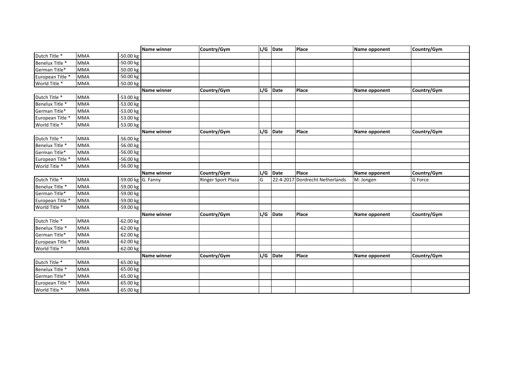|                  |            |                      | Name winner        | Country/Gym        |     | L/G Date   | Place                           | Name opponent | Country/Gym |
|------------------|------------|----------------------|--------------------|--------------------|-----|------------|---------------------------------|---------------|-------------|
| Dutch Title *    | <b>MMA</b> | -50.00 kg            |                    |                    |     |            |                                 |               |             |
| Benelux Title *  | <b>MMA</b> | -50.00 kg            |                    |                    |     |            |                                 |               |             |
| German Title*    | <b>MMA</b> | -50.00 kg            |                    |                    |     |            |                                 |               |             |
| European Title * | <b>MMA</b> | -50.00 kg            |                    |                    |     |            |                                 |               |             |
| World Title *    | <b>MMA</b> | $-50.00$ kg          |                    |                    |     |            |                                 |               |             |
|                  |            |                      | <b>Name winner</b> | Country/Gym        |     | $L/G$ Date | <b>Place</b>                    | Name opponent | Country/Gym |
| Dutch Title *    | MMA        | -53.00 kg            |                    |                    |     |            |                                 |               |             |
| Benelux Title *  | <b>MMA</b> | $-53.00$ kg          |                    |                    |     |            |                                 |               |             |
| German Title*    | <b>MMA</b> | $-53.00$ kg          |                    |                    |     |            |                                 |               |             |
| European Title * | <b>MMA</b> | -53.00 kg            |                    |                    |     |            |                                 |               |             |
| World Title *    | <b>MMA</b> | -53.00 kg            |                    |                    |     |            |                                 |               |             |
|                  |            |                      | Name winner        | Country/Gym        |     | $L/G$ Date | Place                           | Name opponent | Country/Gym |
| Dutch Title *    | <b>MMA</b> | -56.00 kg            |                    |                    |     |            |                                 |               |             |
| Benelux Title *  | <b>MMA</b> | -56.00 kg            |                    |                    |     |            |                                 |               |             |
| German Title*    | <b>MMA</b> | -56.00 kg            |                    |                    |     |            |                                 |               |             |
| European Title * | <b>MMA</b> | -56.00 kg            |                    |                    |     |            |                                 |               |             |
| World Title *    | <b>MMA</b> | $-56.00$ kg          |                    |                    |     |            |                                 |               |             |
|                  |            |                      | Name winner        | Country/Gym        | L/G | Date       | Place                           | Name opponent | Country/Gym |
| Dutch Title *    | <b>MMA</b> | $-59.00$ kg G. Fanny |                    | Ringer Sport Plaza | G   |            | 22-4-2017 Dordrecht Netherlands | M. Jongen     | G Force     |
| Benelux Title *  | <b>MMA</b> | -59.00 kg            |                    |                    |     |            |                                 |               |             |
| German Title*    | <b>MMA</b> | -59.00 kg            |                    |                    |     |            |                                 |               |             |
| European Title * | <b>MMA</b> | -59.00 kg            |                    |                    |     |            |                                 |               |             |
| World Title *    | <b>MMA</b> | -59.00 kg            |                    |                    |     |            |                                 |               |             |
|                  |            |                      | <b>Name winner</b> | Country/Gym        |     | $L/G$ Date | Place                           | Name opponent | Country/Gym |
| Dutch Title *    | <b>MMA</b> | -62.00 kg            |                    |                    |     |            |                                 |               |             |
| Benelux Title *  | <b>MMA</b> | $-62.00$ kg          |                    |                    |     |            |                                 |               |             |
| German Title*    | <b>MMA</b> | $-62.00$ kg          |                    |                    |     |            |                                 |               |             |
| European Title * | <b>MMA</b> | $-62.00$ kg          |                    |                    |     |            |                                 |               |             |
| World Title *    | <b>MMA</b> | $-62.00$ kg          |                    |                    |     |            |                                 |               |             |
|                  |            |                      | Name winner        | Country/Gym        |     | L/G Date   | Place                           | Name opponent | Country/Gym |
| Dutch Title *    | <b>MMA</b> | $-65.00$ kg          |                    |                    |     |            |                                 |               |             |
| Benelux Title *  | <b>MMA</b> | -65.00 kg            |                    |                    |     |            |                                 |               |             |
| German Title*    | <b>MMA</b> | $-65.00$ kg          |                    |                    |     |            |                                 |               |             |
| European Title * | <b>MMA</b> | $-65.00$ kg          |                    |                    |     |            |                                 |               |             |
| World Title *    | <b>MMA</b> | $-65.00 kg$          |                    |                    |     |            |                                 |               |             |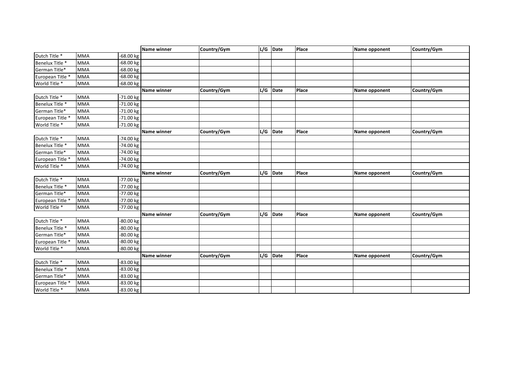|                  |            |             | Name winner        | Country/Gym |     | L/G Date   | Place        | Name opponent | Country/Gym |
|------------------|------------|-------------|--------------------|-------------|-----|------------|--------------|---------------|-------------|
| Dutch Title *    | <b>MMA</b> | -68.00 kg   |                    |             |     |            |              |               |             |
| Benelux Title *  | <b>MMA</b> | -68.00 kg   |                    |             |     |            |              |               |             |
| German Title*    | <b>MMA</b> | -68.00 kg   |                    |             |     |            |              |               |             |
| European Title * | <b>MMA</b> | -68.00 kg   |                    |             |     |            |              |               |             |
| World Title *    | <b>MMA</b> | $-68.00$ kg |                    |             |     |            |              |               |             |
|                  |            |             | <b>Name winner</b> | Country/Gym |     | $L/G$ Date | <b>Place</b> | Name opponent | Country/Gym |
| Dutch Title *    | <b>MMA</b> | -71.00 kg   |                    |             |     |            |              |               |             |
| Benelux Title *  | <b>MMA</b> | $-71.00$ kg |                    |             |     |            |              |               |             |
| German Title*    | <b>MMA</b> | $-71.00$ kg |                    |             |     |            |              |               |             |
| European Title * | <b>MMA</b> | -71.00 kg   |                    |             |     |            |              |               |             |
| World Title *    | <b>MMA</b> | -71.00 kg   |                    |             |     |            |              |               |             |
|                  |            |             | Name winner        | Country/Gym |     | $L/G$ Date | Place        | Name opponent | Country/Gym |
| Dutch Title *    | <b>MMA</b> | -74.00 kg   |                    |             |     |            |              |               |             |
| Benelux Title *  | <b>MMA</b> | -74.00 kg   |                    |             |     |            |              |               |             |
| German Title*    | <b>MMA</b> | -74.00 kg   |                    |             |     |            |              |               |             |
| European Title * | <b>MMA</b> | -74.00 kg   |                    |             |     |            |              |               |             |
| World Title *    | <b>MMA</b> | -74.00 kg   |                    |             |     |            |              |               |             |
|                  |            |             | Name winner        | Country/Gym | L/G | Date       | Place        | Name opponent | Country/Gym |
| Dutch Title *    | <b>MMA</b> | -77.00 kg   |                    |             |     |            |              |               |             |
| Benelux Title *  | <b>MMA</b> | -77.00 kg   |                    |             |     |            |              |               |             |
| German Title*    | <b>MMA</b> | -77.00 kg   |                    |             |     |            |              |               |             |
| European Title * | <b>MMA</b> | -77.00 kg   |                    |             |     |            |              |               |             |
| World Title *    | MMA        | -77.00 kg   |                    |             |     |            |              |               |             |
|                  |            |             | <b>Name winner</b> | Country/Gym |     | L/G Date   | Place        | Name opponent | Country/Gym |
| Dutch Title *    | <b>MMA</b> | -80.00 kg   |                    |             |     |            |              |               |             |
| Benelux Title *  | <b>MMA</b> | -80.00 kg   |                    |             |     |            |              |               |             |
| German Title*    | <b>MMA</b> | $-80.00$ kg |                    |             |     |            |              |               |             |
| European Title * | <b>MMA</b> | $-80.00$ kg |                    |             |     |            |              |               |             |
| World Title *    | <b>MMA</b> | -80.00 kg   |                    |             |     |            |              |               |             |
|                  |            |             | Name winner        | Country/Gym |     | L/G Date   | Place        | Name opponent | Country/Gym |
| Dutch Title *    | <b>MMA</b> | -83.00 kg   |                    |             |     |            |              |               |             |
| Benelux Title *  | <b>MMA</b> | -83.00 kg   |                    |             |     |            |              |               |             |
| German Title*    | <b>MMA</b> | $-83.00 kg$ |                    |             |     |            |              |               |             |
| European Title * | <b>MMA</b> | -83.00 kg   |                    |             |     |            |              |               |             |
| World Title *    | <b>MMA</b> | -83.00 kg   |                    |             |     |            |              |               |             |